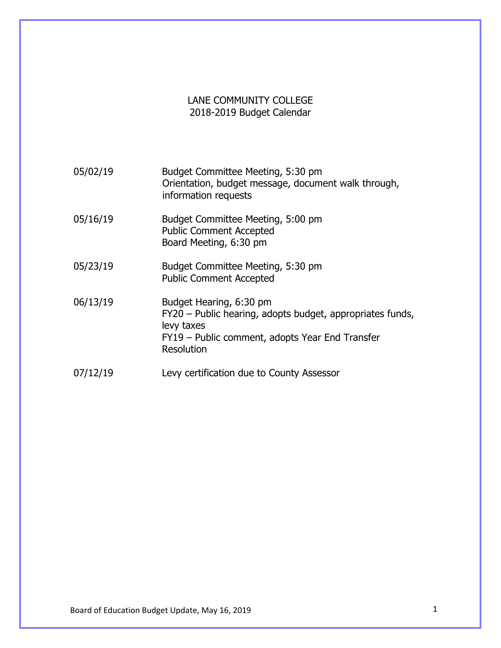## LANE COMMUNITY COLLEGE 2018-2019 Budget Calendar

| 05/02/19 | Budget Committee Meeting, 5:30 pm<br>Orientation, budget message, document walk through,<br>information requests                                                    |
|----------|---------------------------------------------------------------------------------------------------------------------------------------------------------------------|
| 05/16/19 | Budget Committee Meeting, 5:00 pm<br><b>Public Comment Accepted</b><br>Board Meeting, 6:30 pm                                                                       |
| 05/23/19 | Budget Committee Meeting, 5:30 pm<br><b>Public Comment Accepted</b>                                                                                                 |
| 06/13/19 | Budget Hearing, 6:30 pm<br>FY20 - Public hearing, adopts budget, appropriates funds,<br>levy taxes<br>FY19 – Public comment, adopts Year End Transfer<br>Resolution |
| 07/12/19 | Levy certification due to County Assessor                                                                                                                           |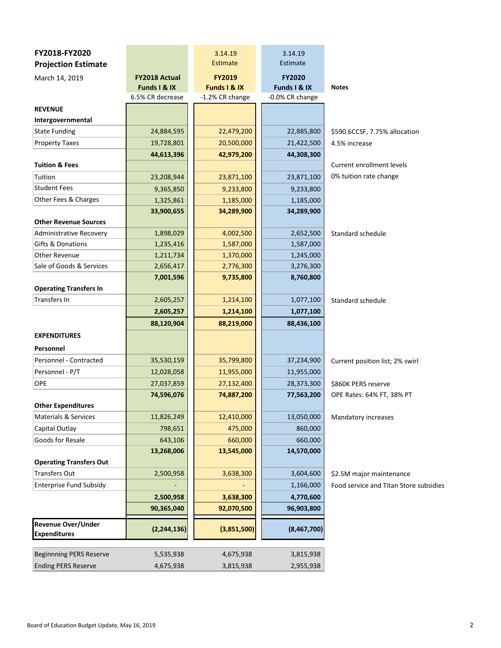| FY2018-FY2020                                    |                      | 3.14.19         | 3.14.19         |                                        |
|--------------------------------------------------|----------------------|-----------------|-----------------|----------------------------------------|
| <b>Projection Estimate</b>                       |                      | Estimate        | Estimate        |                                        |
| March 14, 2019                                   | <b>FY2018 Actual</b> | <b>FY2019</b>   | <b>FY2020</b>   |                                        |
|                                                  | Funds I & IX         | Funds I & IX    | Funds I & IX    | <b>Notes</b>                           |
|                                                  | 6.5% CR decrease     | -1.2% CR change | -0.0% CR change |                                        |
| <b>REVENUE</b>                                   |                      |                 |                 |                                        |
| Intergovernmental                                |                      |                 |                 |                                        |
| <b>State Funding</b>                             | 24,884,595           | 22,479,200      | 22,885,800      | \$590.6CCSF, 7.75% allocation          |
| <b>Property Taxes</b>                            | 19,728,801           | 20,500,000      | 21,422,500      | 4.5% increase                          |
|                                                  | 44,613,396           | 42,979,200      | 44,308,300      |                                        |
| <b>Tuition &amp; Fees</b>                        |                      |                 |                 | <b>Current enrollment levels</b>       |
| Tuition                                          | 23,208,944           | 23,871,100      | 23,871,100      | 0% tuition rate change                 |
| <b>Student Fees</b>                              | 9,365,850            | 9,233,800       | 9,233,800       |                                        |
| Other Fees & Charges                             | 1,325,861            | 1,185,000       | 1,185,000       |                                        |
|                                                  | 33,900,655           | 34,289,900      | 34,289,900      |                                        |
| <b>Other Revenue Sources</b>                     |                      |                 |                 |                                        |
| <b>Administrative Recovery</b>                   | 1,898,029            | 4,002,500       | 2,652,500       | Standard schedule                      |
| Gifts & Donations                                | 1,235,416            | 1,587,000       | 1,587,000       |                                        |
| <b>Other Revenue</b>                             | 1,211,734            | 1,370,000       | 1,245,000       |                                        |
| Sale of Goods & Services                         | 2,656,417            | 2,776,300       | 3,276,300       |                                        |
|                                                  | 7,001,596            | 9,735,800       | 8,760,800       |                                        |
| <b>Operating Transfers In</b>                    |                      |                 |                 |                                        |
| <b>Transfers In</b>                              | 2,605,257            | 1,214,100       | 1,077,100       | Standard schedule                      |
|                                                  | 2,605,257            | 1,214,100       | 1,077,100       |                                        |
|                                                  | 88,120,904           | 88,219,000      | 88,436,100      |                                        |
| <b>EXPENDITURES</b>                              |                      |                 |                 |                                        |
| Personnel                                        |                      |                 |                 |                                        |
| Personnel - Contracted                           | 35,530,159           | 35,799,800      | 37,234,900      | Current position list; 2% swirl        |
| Personnel - P/T                                  | 12,028,058           | 11,955,000      | 11,955,000      |                                        |
| <b>OPE</b>                                       | 27,037,859           | 27,132,400      | 28,373,300      | \$860K PERS reserve                    |
|                                                  | 74,596,076           | 74,887,200      | 77,563,200      | OPE Rates: 64% FT, 38% PT              |
| <b>Other Expenditures</b>                        |                      |                 |                 |                                        |
| <b>Materials &amp; Services</b>                  | 11,826,249           | 12,410,000      | 13,050,000      | Mandatory increases                    |
| Capital Outlay                                   | 798,651              | 475,000         | 860,000         |                                        |
| Goods for Resale                                 | 643,106              | 660,000         | 660,000         |                                        |
|                                                  | 13,268,006           | 13,545,000      | 14,570,000      |                                        |
| <b>Operating Transfers Out</b>                   |                      |                 |                 |                                        |
| <b>Transfers Out</b>                             | 2,500,958            | 3,638,300       | 3,604,600       | \$2.5M major maintenance               |
| <b>Enterprise Fund Subsidy</b>                   |                      |                 | 1,166,000       | Food service and Titan Store subsidies |
|                                                  | 2,500,958            | 3,638,300       | 4,770,600       |                                        |
|                                                  | 90,365,040           | 92,070,500      | 96,903,800      |                                        |
| <b>Revenue Over/Under</b><br><b>Expenditures</b> | (2, 244, 136)        | (3,851,500)     | (8,467,700)     |                                        |
|                                                  |                      |                 |                 |                                        |
| <b>Beginnning PERS Reserve</b>                   | 5,535,938            | 4,675,938       | 3,815,938       |                                        |
| <b>Ending PERS Reserve</b>                       | 4,675,938            | 3,815,938       | 2,955,938       |                                        |